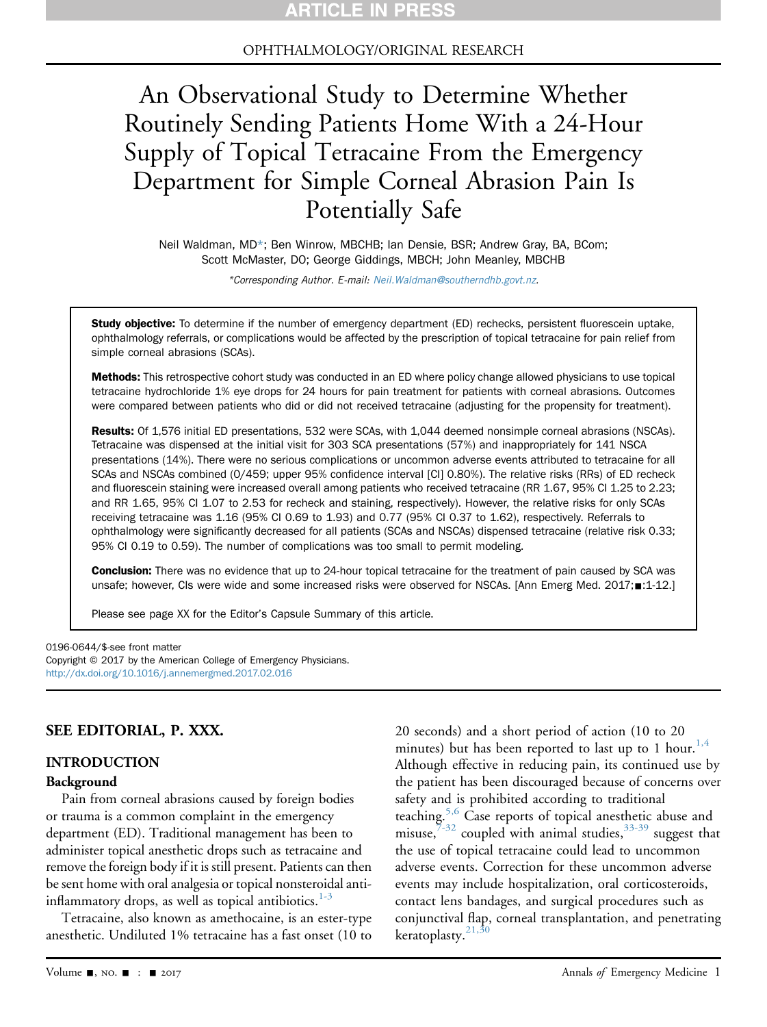### OPHTHALMOLOGY/ORIGINAL RESEARCH

# An Observational Study to Determine Whether Routinely Sending Patients Home With a 24-Hour Supply of Topical Tetracaine From the Emergency Department for Simple Corneal Abrasion Pain Is Potentially Safe

Neil Waldman, MD\*; Ben Winrow, MBCHB; Ian Densie, BSR; Andrew Gray, BA, BCom; Scott McMaster, DO; George Giddings, MBCH; John Meanley, MBCHB \*Corresponding Author. E-mail: [Neil.Waldman@southerndhb.govt.nz.](mailto:Neil.Waldman@southerndhb.govt.nz)

Study objective: To determine if the number of emergency department (ED) rechecks, persistent fluorescein uptake, ophthalmology referrals, or complications would be affected by the prescription of topical tetracaine for pain relief from simple corneal abrasions (SCAs).

Methods: This retrospective cohort study was conducted in an ED where policy change allowed physicians to use topical tetracaine hydrochloride 1% eye drops for 24 hours for pain treatment for patients with corneal abrasions. Outcomes were compared between patients who did or did not received tetracaine (adjusting for the propensity for treatment).

Results: Of 1,576 initial ED presentations, 532 were SCAs, with 1,044 deemed nonsimple corneal abrasions (NSCAs). Tetracaine was dispensed at the initial visit for 303 SCA presentations (57%) and inappropriately for 141 NSCA presentations (14%). There were no serious complications or uncommon adverse events attributed to tetracaine for all SCAs and NSCAs combined (0/459; upper 95% confidence interval [CI] 0.80%). The relative risks (RRs) of ED recheck and fluorescein staining were increased overall among patients who received tetracaine (RR 1.67, 95% CI 1.25 to 2.23; and RR 1.65, 95% CI 1.07 to 2.53 for recheck and staining, respectively). However, the relative risks for only SCAs receiving tetracaine was 1.16 (95% CI 0.69 to 1.93) and 0.77 (95% CI 0.37 to 1.62), respectively. Referrals to ophthalmology were significantly decreased for all patients (SCAs and NSCAs) dispensed tetracaine (relative risk 0.33; 95% CI 0.19 to 0.59). The number of complications was too small to permit modeling.

Conclusion: There was no evidence that up to 24-hour topical tetracaine for the treatment of pain caused by SCA was unsafe; however, CIs were wide and some increased risks were observed for NSCAs. [Ann Emerg Med. 2017; 1:1-12.]

Please see page XX for the Editor's Capsule Summary of this article.

#### 0196-0644/\$-see front matter

Copyright © 2017 by the American College of Emergency Physicians. <http://dx.doi.org/10.1016/j.annemergmed.2017.02.016>

### SEE EDITORIAL, P. XXX.

#### INTRODUCTION

#### Background

Pain from corneal abrasions caused by foreign bodies or trauma is a common complaint in the emergency department (ED). Traditional management has been to administer topical anesthetic drops such as tetracaine and remove the foreign body if it is still present. Patients can then be sent home with oral analgesia or topical nonsteroidal antiinflammatory drops, as well as topical antibiotics. $1-3$ 

Tetracaine, also known as amethocaine, is an ester-type anesthetic. Undiluted 1% tetracaine has a fast onset (10 to

20 seconds) and a short period of action (10 to 20 minutes) but has been reported to last up to 1 hour.<sup>[1,4](#page-10-0)</sup> Although effective in reducing pain, its continued use by the patient has been discouraged because of concerns over safety and is prohibited according to traditional teaching.[5,6](#page-10-1) Case reports of topical anesthetic abuse and misuse, $\frac{5}{7}$ <sup>32</sup> coupled with animal studies,  $33-39$  suggest that the use of topical tetracaine could lead to uncommon adverse events. Correction for these uncommon adverse events may include hospitalization, oral corticosteroids, contact lens bandages, and surgical procedures such as conjunctival flap, corneal transplantation, and penetrating keratoplasty. $21,30$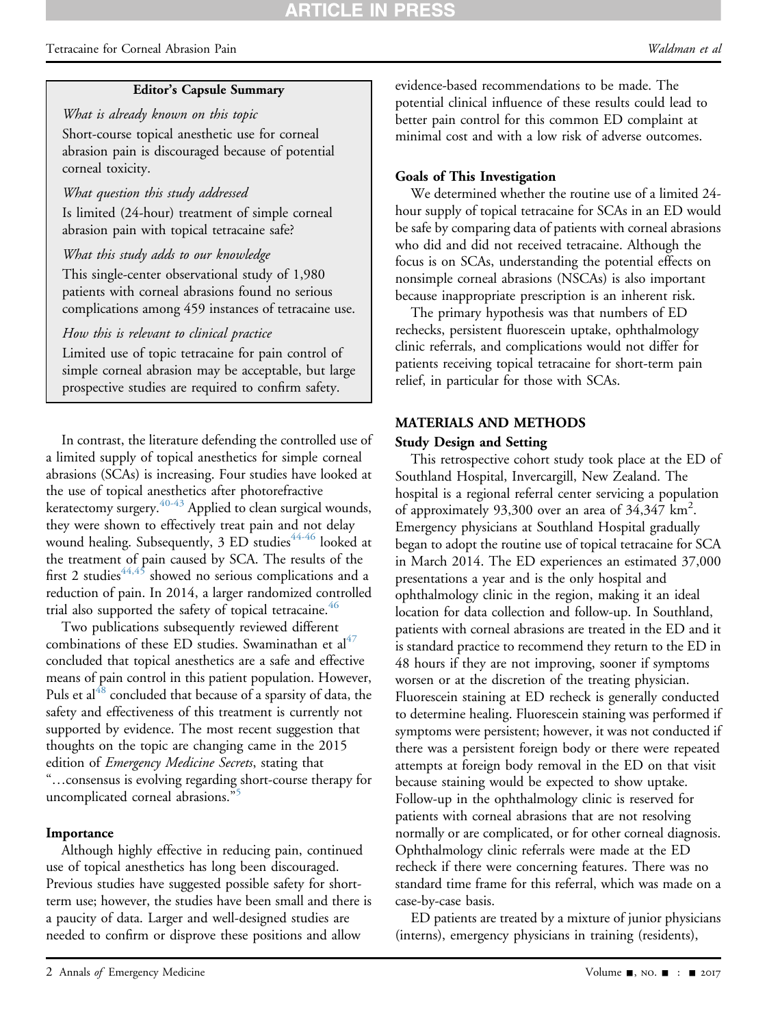# **ARTICLE IN PRES**

#### Editor's Capsule Summary

What is already known on this topic Short-course topical anesthetic use for corneal abrasion pain is discouraged because of potential corneal toxicity.

What question this study addressed Is limited (24-hour) treatment of simple corneal abrasion pain with topical tetracaine safe?

#### What this study adds to our knowledge

This single-center observational study of 1,980 patients with corneal abrasions found no serious complications among 459 instances of tetracaine use.

#### How this is relevant to clinical practice

Limited use of topic tetracaine for pain control of simple corneal abrasion may be acceptable, but large prospective studies are required to confirm safety.

In contrast, the literature defending the controlled use of a limited supply of topical anesthetics for simple corneal abrasions (SCAs) is increasing. Four studies have looked at the use of topical anesthetics after photorefractive keratectomy surgery.  $40-43$  Applied to clean surgical wounds, they were shown to effectively treat pain and not delay wound healing. Subsequently, 3 ED studies<sup>[44-46](#page-11-2)</sup> looked at the treatment of pain caused by SCA. The results of the first 2 studies<sup>[44,45](#page-11-2)</sup> showed no serious complications and a reduction of pain. In 2014, a larger randomized controlled trial also supported the safety of topical tetracaine.<sup>[46](#page-11-3)</sup>

Two publications subsequently reviewed different combinations of these ED studies. Swaminathan et  $al<sup>4</sup>$ concluded that topical anesthetics are a safe and effective means of pain control in this patient population. However, Puls et al<sup>[48](#page-11-5)</sup> concluded that because of a sparsity of data, the safety and effectiveness of this treatment is currently not supported by evidence. The most recent suggestion that thoughts on the topic are changing came in the 2015 edition of *Emergency Medicine Secrets*, stating that ".consensus is evolving regarding short-course therapy for uncomplicated corneal abrasions."<sup>[5](#page-10-1)</sup>

#### **Importance**

Although highly effective in reducing pain, continued use of topical anesthetics has long been discouraged. Previous studies have suggested possible safety for shortterm use; however, the studies have been small and there is a paucity of data. Larger and well-designed studies are needed to confirm or disprove these positions and allow

evidence-based recommendations to be made. The potential clinical influence of these results could lead to better pain control for this common ED complaint at minimal cost and with a low risk of adverse outcomes.

#### Goals of This Investigation

We determined whether the routine use of a limited 24 hour supply of topical tetracaine for SCAs in an ED would be safe by comparing data of patients with corneal abrasions who did and did not received tetracaine. Although the focus is on SCAs, understanding the potential effects on nonsimple corneal abrasions (NSCAs) is also important because inappropriate prescription is an inherent risk.

The primary hypothesis was that numbers of ED rechecks, persistent fluorescein uptake, ophthalmology clinic referrals, and complications would not differ for patients receiving topical tetracaine for short-term pain relief, in particular for those with SCAs.

### MATERIALS AND METHODS

#### Study Design and Setting

This retrospective cohort study took place at the ED of Southland Hospital, Invercargill, New Zealand. The hospital is a regional referral center servicing a population of approximately 93,300 over an area of  $34,347$  km<sup>2</sup>. Emergency physicians at Southland Hospital gradually began to adopt the routine use of topical tetracaine for SCA in March 2014. The ED experiences an estimated 37,000 presentations a year and is the only hospital and ophthalmology clinic in the region, making it an ideal location for data collection and follow-up. In Southland, patients with corneal abrasions are treated in the ED and it is standard practice to recommend they return to the ED in 48 hours if they are not improving, sooner if symptoms worsen or at the discretion of the treating physician. Fluorescein staining at ED recheck is generally conducted to determine healing. Fluorescein staining was performed if symptoms were persistent; however, it was not conducted if there was a persistent foreign body or there were repeated attempts at foreign body removal in the ED on that visit because staining would be expected to show uptake. Follow-up in the ophthalmology clinic is reserved for patients with corneal abrasions that are not resolving normally or are complicated, or for other corneal diagnosis. Ophthalmology clinic referrals were made at the ED recheck if there were concerning features. There was no standard time frame for this referral, which was made on a case-by-case basis.

ED patients are treated by a mixture of junior physicians (interns), emergency physicians in training (residents),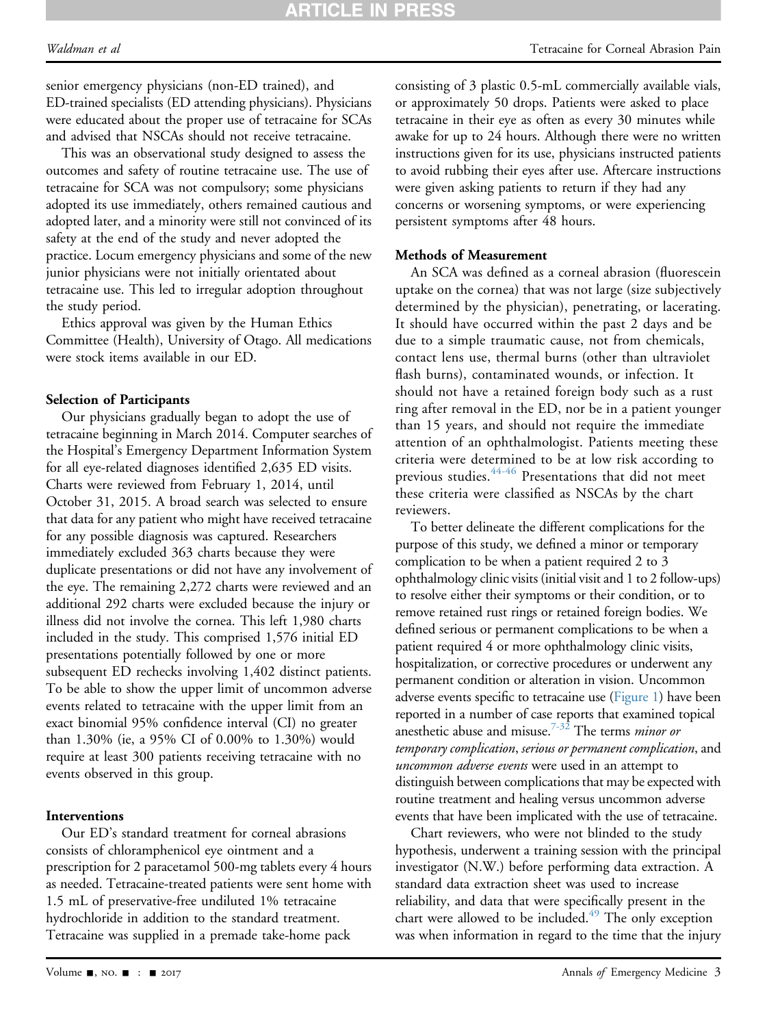Waldman et al

senior emergency physicians (non-ED trained), and ED-trained specialists (ED attending physicians). Physicians were educated about the proper use of tetracaine for SCAs and advised that NSCAs should not receive tetracaine.

This was an observational study designed to assess the outcomes and safety of routine tetracaine use. The use of tetracaine for SCA was not compulsory; some physicians adopted its use immediately, others remained cautious and adopted later, and a minority were still not convinced of its safety at the end of the study and never adopted the practice. Locum emergency physicians and some of the new junior physicians were not initially orientated about tetracaine use. This led to irregular adoption throughout the study period.

Ethics approval was given by the Human Ethics Committee (Health), University of Otago. All medications were stock items available in our ED.

#### Selection of Participants

Our physicians gradually began to adopt the use of tetracaine beginning in March 2014. Computer searches of the Hospital's Emergency Department Information System for all eye-related diagnoses identified 2,635 ED visits. Charts were reviewed from February 1, 2014, until October 31, 2015. A broad search was selected to ensure that data for any patient who might have received tetracaine for any possible diagnosis was captured. Researchers immediately excluded 363 charts because they were duplicate presentations or did not have any involvement of the eye. The remaining 2,272 charts were reviewed and an additional 292 charts were excluded because the injury or illness did not involve the cornea. This left 1,980 charts included in the study. This comprised 1,576 initial ED presentations potentially followed by one or more subsequent ED rechecks involving 1,402 distinct patients. To be able to show the upper limit of uncommon adverse events related to tetracaine with the upper limit from an exact binomial 95% confidence interval (CI) no greater than 1.30% (ie, a 95% CI of 0.00% to 1.30%) would require at least 300 patients receiving tetracaine with no events observed in this group.

#### **Interventions**

Our ED's standard treatment for corneal abrasions consists of chloramphenicol eye ointment and a prescription for 2 paracetamol 500-mg tablets every 4 hours as needed. Tetracaine-treated patients were sent home with 1.5 mL of preservative-free undiluted 1% tetracaine hydrochloride in addition to the standard treatment. Tetracaine was supplied in a premade take-home pack

consisting of 3 plastic 0.5-mL commercially available vials, or approximately 50 drops. Patients were asked to place tetracaine in their eye as often as every 30 minutes while awake for up to 24 hours. Although there were no written instructions given for its use, physicians instructed patients to avoid rubbing their eyes after use. Aftercare instructions were given asking patients to return if they had any concerns or worsening symptoms, or were experiencing persistent symptoms after 48 hours.

#### Methods of Measurement

An SCA was defined as a corneal abrasion (fluorescein uptake on the cornea) that was not large (size subjectively determined by the physician), penetrating, or lacerating. It should have occurred within the past 2 days and be due to a simple traumatic cause, not from chemicals, contact lens use, thermal burns (other than ultraviolet flash burns), contaminated wounds, or infection. It should not have a retained foreign body such as a rust ring after removal in the ED, nor be in a patient younger than 15 years, and should not require the immediate attention of an ophthalmologist. Patients meeting these criteria were determined to be at low risk according to previous studies.[44-46](#page-11-2) Presentations that did not meet these criteria were classified as NSCAs by the chart reviewers.

To better delineate the different complications for the purpose of this study, we defined a minor or temporary complication to be when a patient required 2 to 3 ophthalmology clinic visits (initial visit and 1 to 2 follow-ups) to resolve either their symptoms or their condition, or to remove retained rust rings or retained foreign bodies. We defined serious or permanent complications to be when a patient required 4 or more ophthalmology clinic visits, hospitalization, or corrective procedures or underwent any permanent condition or alteration in vision. Uncommon adverse events specific to tetracaine use [\(Figure 1\)](#page-3-0) have been reported in a number of case reports that examined topical anesthetic abuse and misuse.<sup>7-32</sup> The terms *minor or* temporary complication, serious or permanent complication, and uncommon adverse events were used in an attempt to distinguish between complications that may be expected with routine treatment and healing versus uncommon adverse events that have been implicated with the use of tetracaine.

Chart reviewers, who were not blinded to the study hypothesis, underwent a training session with the principal investigator (N.W.) before performing data extraction. A standard data extraction sheet was used to increase reliability, and data that were specifically present in the chart were allowed to be included. $49$  The only exception was when information in regard to the time that the injury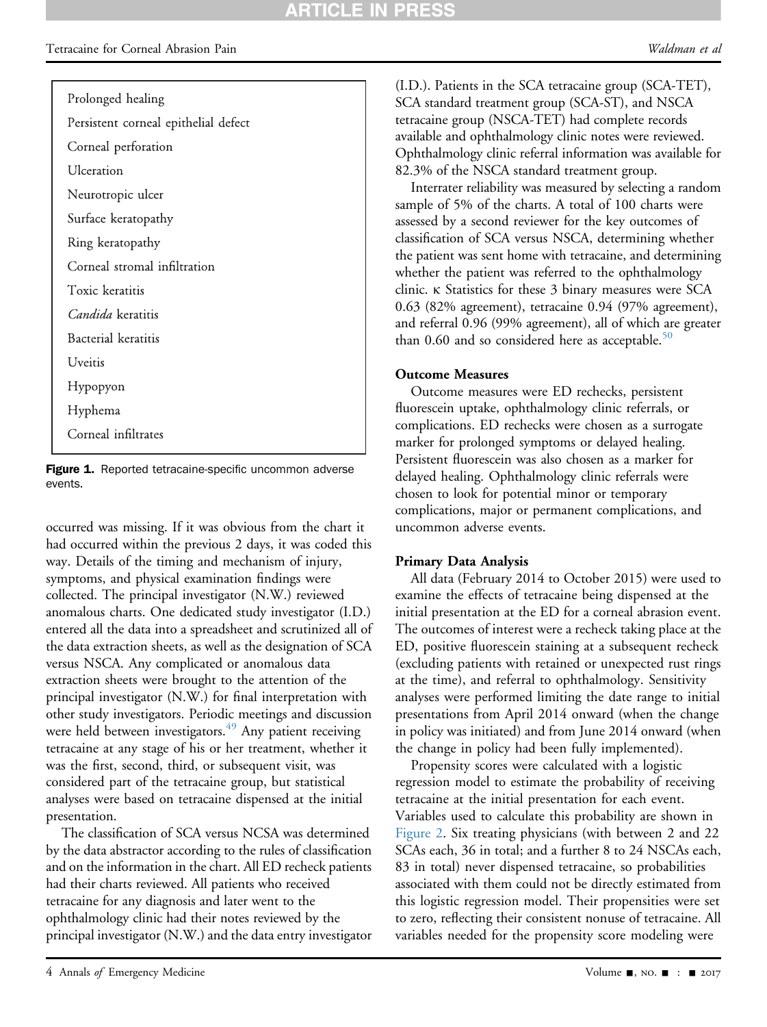#### RTICLE IN **PRES**

<span id="page-3-0"></span>

| Prolonged healing                    |  |
|--------------------------------------|--|
| Persistent corneal epithelial defect |  |
| Corneal perforation                  |  |
| Ulceration                           |  |
| Neurotropic ulcer                    |  |
| Surface keratopathy                  |  |
| Ring keratopathy                     |  |
| Corneal stromal infiltration         |  |
| Toxic keratitis                      |  |
| <i>Candida</i> keratitis             |  |
| Bacterial keratitis                  |  |
| Uveitis                              |  |
| Hypopyon                             |  |
| Hyphema                              |  |
| Corneal infiltrates                  |  |
|                                      |  |

Figure 1. Reported tetracaine-specific uncommon adverse events.

occurred was missing. If it was obvious from the chart it had occurred within the previous 2 days, it was coded this way. Details of the timing and mechanism of injury, symptoms, and physical examination findings were collected. The principal investigator (N.W.) reviewed anomalous charts. One dedicated study investigator (I.D.) entered all the data into a spreadsheet and scrutinized all of the data extraction sheets, as well as the designation of SCA versus NSCA. Any complicated or anomalous data extraction sheets were brought to the attention of the principal investigator (N.W.) for final interpretation with other study investigators. Periodic meetings and discussion were held between investigators.<sup>49</sup> Any patient receiving tetracaine at any stage of his or her treatment, whether it was the first, second, third, or subsequent visit, was considered part of the tetracaine group, but statistical analyses were based on tetracaine dispensed at the initial presentation.

The classification of SCA versus NCSA was determined by the data abstractor according to the rules of classification and on the information in the chart. All ED recheck patients had their charts reviewed. All patients who received tetracaine for any diagnosis and later went to the ophthalmology clinic had their notes reviewed by the principal investigator (N.W.) and the data entry investigator

(I.D.). Patients in the SCA tetracaine group (SCA-TET), SCA standard treatment group (SCA-ST), and NSCA tetracaine group (NSCA-TET) had complete records available and ophthalmology clinic notes were reviewed. Ophthalmology clinic referral information was available for 82.3% of the NSCA standard treatment group.

Interrater reliability was measured by selecting a random sample of 5% of the charts. A total of 100 charts were assessed by a second reviewer for the key outcomes of classification of SCA versus NSCA, determining whether the patient was sent home with tetracaine, and determining whether the patient was referred to the ophthalmology clinic. k Statistics for these 3 binary measures were SCA 0.63 (82% agreement), tetracaine 0.94 (97% agreement), and referral 0.96 (99% agreement), all of which are greater than 0.60 and so considered here as acceptable. $50$ 

#### Outcome Measures

Outcome measures were ED rechecks, persistent fluorescein uptake, ophthalmology clinic referrals, or complications. ED rechecks were chosen as a surrogate marker for prolonged symptoms or delayed healing. Persistent fluorescein was also chosen as a marker for delayed healing. Ophthalmology clinic referrals were chosen to look for potential minor or temporary complications, major or permanent complications, and uncommon adverse events.

### Primary Data Analysis

All data (February 2014 to October 2015) were used to examine the effects of tetracaine being dispensed at the initial presentation at the ED for a corneal abrasion event. The outcomes of interest were a recheck taking place at the ED, positive fluorescein staining at a subsequent recheck (excluding patients with retained or unexpected rust rings at the time), and referral to ophthalmology. Sensitivity analyses were performed limiting the date range to initial presentations from April 2014 onward (when the change in policy was initiated) and from June 2014 onward (when the change in policy had been fully implemented).

Propensity scores were calculated with a logistic regression model to estimate the probability of receiving tetracaine at the initial presentation for each event. Variables used to calculate this probability are shown in [Figure 2.](#page-4-0) Six treating physicians (with between 2 and 22 SCAs each, 36 in total; and a further 8 to 24 NSCAs each, 83 in total) never dispensed tetracaine, so probabilities associated with them could not be directly estimated from this logistic regression model. Their propensities were set to zero, reflecting their consistent nonuse of tetracaine. All variables needed for the propensity score modeling were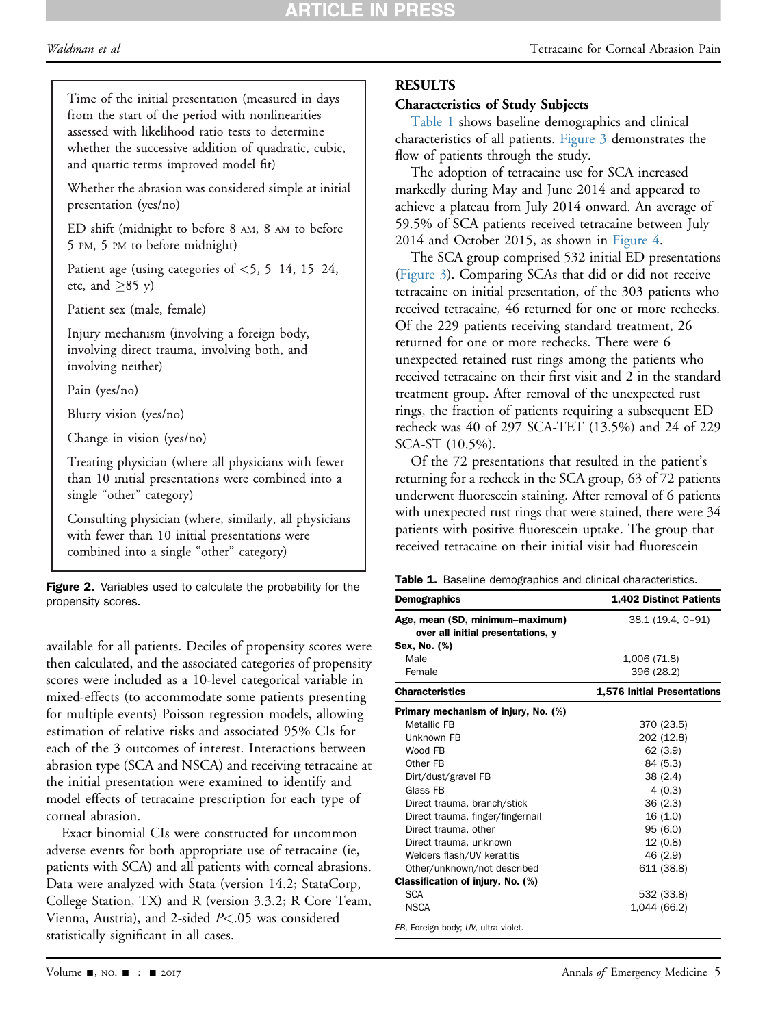<span id="page-4-0"></span>Time of the initial presentation (measured in days from the start of the period with nonlinearities assessed with likelihood ratio tests to determine whether the successive addition of quadratic, cubic, and quartic terms improved model fit)

Whether the abrasion was considered simple at initial presentation (yes/no)

ED shift (midnight to before 8 AM, 8 AM to before 5 PM, 5 PM to before midnight)

Patient age (using categories of  $<$  5, 5–14, 15–24, etc, and  $\geq$ 85 y)

Patient sex (male, female)

Injury mechanism (involving a foreign body, involving direct trauma, involving both, and involving neither)

Pain (yes/no)

Blurry vision (yes/no)

Change in vision (yes/no)

Treating physician (where all physicians with fewer than 10 initial presentations were combined into a single "other" category)

Consulting physician (where, similarly, all physicians with fewer than 10 initial presentations were combined into a single "other" category)

Figure 2. Variables used to calculate the probability for the propensity scores.

available for all patients. Deciles of propensity scores were then calculated, and the associated categories of propensity scores were included as a 10-level categorical variable in mixed-effects (to accommodate some patients presenting for multiple events) Poisson regression models, allowing estimation of relative risks and associated 95% CIs for each of the 3 outcomes of interest. Interactions between abrasion type (SCA and NSCA) and receiving tetracaine at the initial presentation were examined to identify and model effects of tetracaine prescription for each type of corneal abrasion.

Exact binomial CIs were constructed for uncommon adverse events for both appropriate use of tetracaine (ie, patients with SCA) and all patients with corneal abrasions. Data were analyzed with Stata (version 14.2; StataCorp, College Station, TX) and R (version 3.3.2; R Core Team, Vienna, Austria), and 2-sided  $P<.05$  was considered statistically significant in all cases.

## **RESULTS**

#### Characteristics of Study Subjects

[Table 1](#page-4-1) shows baseline demographics and clinical characteristics of all patients. [Figure 3](#page-5-0) demonstrates the flow of patients through the study.

The adoption of tetracaine use for SCA increased markedly during May and June 2014 and appeared to achieve a plateau from July 2014 onward. An average of 59.5% of SCA patients received tetracaine between July 2014 and October 2015, as shown in [Figure 4](#page-6-0).

The SCA group comprised 532 initial ED presentations ([Figure 3\)](#page-5-0). Comparing SCAs that did or did not receive tetracaine on initial presentation, of the 303 patients who received tetracaine, 46 returned for one or more rechecks. Of the 229 patients receiving standard treatment, 26 returned for one or more rechecks. There were 6 unexpected retained rust rings among the patients who received tetracaine on their first visit and 2 in the standard treatment group. After removal of the unexpected rust rings, the fraction of patients requiring a subsequent ED recheck was 40 of 297 SCA-TET (13.5%) and 24 of 229 SCA-ST (10.5%).

Of the 72 presentations that resulted in the patient's returning for a recheck in the SCA group, 63 of 72 patients underwent fluorescein staining. After removal of 6 patients with unexpected rust rings that were stained, there were 34 patients with positive fluorescein uptake. The group that received tetracaine on their initial visit had fluorescein

Table 1. Baseline demographics and clinical characteristics.

<span id="page-4-1"></span>

| <b>Demographics</b>                                                                  | 1,402 Distinct Patients     |  |  |  |
|--------------------------------------------------------------------------------------|-----------------------------|--|--|--|
| Age, mean (SD, minimum–maximum)<br>over all initial presentations, y<br>Sex, No. (%) | 38.1 (19.4, 0-91)           |  |  |  |
| Male                                                                                 | 1,006 (71.8)                |  |  |  |
| Female                                                                               | 396 (28.2)                  |  |  |  |
| <b>Characteristics</b>                                                               | 1,576 Initial Presentations |  |  |  |
| Primary mechanism of injury, No. (%)                                                 |                             |  |  |  |
| Metallic FB                                                                          | 370 (23.5)                  |  |  |  |
| Unknown FB                                                                           | 202 (12.8)                  |  |  |  |
| Wood FB                                                                              | 62(3.9)                     |  |  |  |
| Other FB                                                                             | 84 (5.3)                    |  |  |  |
| Dirt/dust/gravel FB                                                                  | 38 (2.4)                    |  |  |  |
| Glass FB                                                                             | 4(0.3)                      |  |  |  |
| Direct trauma, branch/stick                                                          | 36 (2.3)                    |  |  |  |
| Direct trauma, finger/fingernail                                                     | 16(1.0)                     |  |  |  |
| Direct trauma, other                                                                 | 95 (6.0)                    |  |  |  |
| Direct trauma, unknown                                                               | 12(0.8)                     |  |  |  |
| Welders flash/UV keratitis                                                           | 46 (2.9)                    |  |  |  |
| Other/unknown/not described                                                          | 611 (38.8)                  |  |  |  |
| Classification of injury, No. (%)                                                    |                             |  |  |  |
| <b>SCA</b>                                                                           | 532 (33.8)                  |  |  |  |
| <b>NSCA</b>                                                                          | 1,044 (66.2)                |  |  |  |
| FB, Foreign body; UV, ultra violet.                                                  |                             |  |  |  |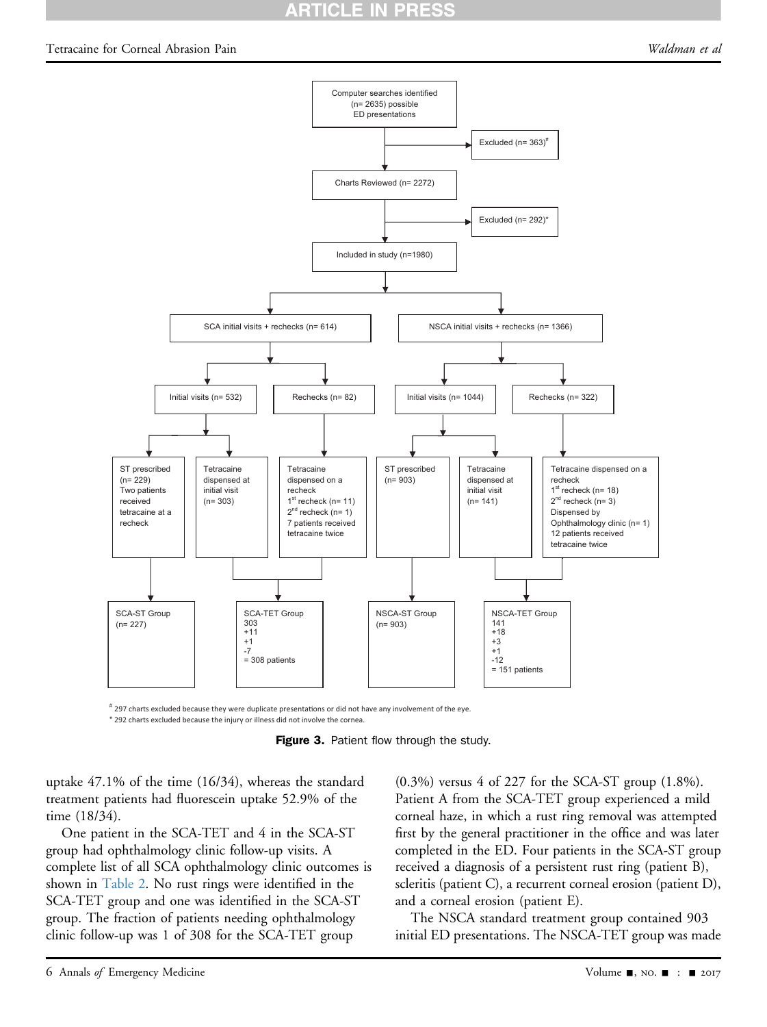# **ARTICLE IN PRESS**

<span id="page-5-0"></span>

 $^*$  297 charts excluded because they were duplicate presentations or did not have any involvement of the eye. \* 292 charts excluded because the injury or illness did not involve the cornea.

Figure 3. Patient flow through the study.

uptake 47.1% of the time (16/34), whereas the standard treatment patients had fluorescein uptake 52.9% of the time (18/34).

One patient in the SCA-TET and 4 in the SCA-ST group had ophthalmology clinic follow-up visits. A complete list of all SCA ophthalmology clinic outcomes is shown in [Table 2.](#page-6-1) No rust rings were identified in the SCA-TET group and one was identified in the SCA-ST group. The fraction of patients needing ophthalmology clinic follow-up was 1 of 308 for the SCA-TET group

(0.3%) versus 4 of 227 for the SCA-ST group (1.8%). Patient A from the SCA-TET group experienced a mild corneal haze, in which a rust ring removal was attempted first by the general practitioner in the office and was later completed in the ED. Four patients in the SCA-ST group received a diagnosis of a persistent rust ring (patient B), scleritis (patient C), a recurrent corneal erosion (patient D), and a corneal erosion (patient E).

The NSCA standard treatment group contained 903 initial ED presentations. The NSCA-TET group was made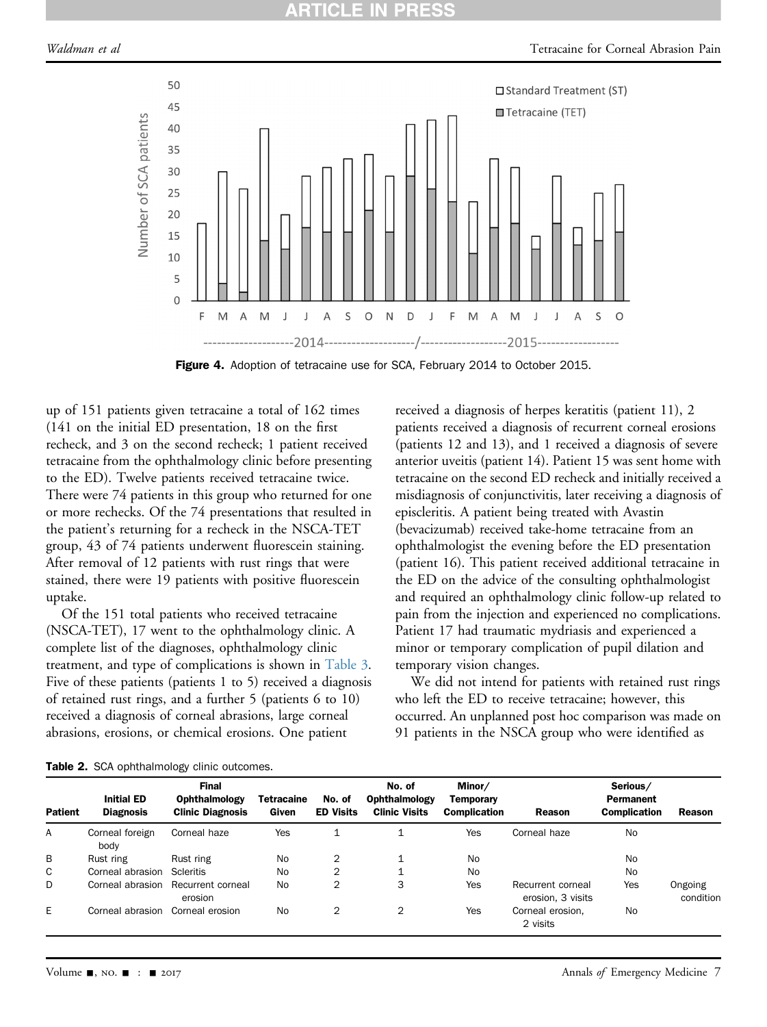<span id="page-6-0"></span>

Figure 4. Adoption of tetracaine use for SCA, February 2014 to October 2015.

up of 151 patients given tetracaine a total of 162 times (141 on the initial ED presentation, 18 on the first recheck, and 3 on the second recheck; 1 patient received tetracaine from the ophthalmology clinic before presenting to the ED). Twelve patients received tetracaine twice. There were 74 patients in this group who returned for one or more rechecks. Of the 74 presentations that resulted in the patient's returning for a recheck in the NSCA-TET group, 43 of 74 patients underwent fluorescein staining. After removal of 12 patients with rust rings that were stained, there were 19 patients with positive fluorescein uptake.

Of the 151 total patients who received tetracaine (NSCA-TET), 17 went to the ophthalmology clinic. A complete list of the diagnoses, ophthalmology clinic treatment, and type of complications is shown in [Table 3.](#page-7-0) Five of these patients (patients 1 to 5) received a diagnosis of retained rust rings, and a further 5 (patients 6 to 10) received a diagnosis of corneal abrasions, large corneal abrasions, erosions, or chemical erosions. One patient

received a diagnosis of herpes keratitis (patient 11), 2 patients received a diagnosis of recurrent corneal erosions (patients 12 and 13), and 1 received a diagnosis of severe anterior uveitis (patient 14). Patient 15 was sent home with tetracaine on the second ED recheck and initially received a misdiagnosis of conjunctivitis, later receiving a diagnosis of episcleritis. A patient being treated with Avastin (bevacizumab) received take-home tetracaine from an ophthalmologist the evening before the ED presentation (patient 16). This patient received additional tetracaine in the ED on the advice of the consulting ophthalmologist and required an ophthalmology clinic follow-up related to pain from the injection and experienced no complications. Patient 17 had traumatic mydriasis and experienced a minor or temporary complication of pupil dilation and temporary vision changes.

We did not intend for patients with retained rust rings who left the ED to receive tetracaine; however, this occurred. An unplanned post hoc comparison was made on 91 patients in the NSCA group who were identified as

<span id="page-6-1"></span>

| Table 2. SCA ophthalmology clinic outcomes. |  |
|---------------------------------------------|--|
|---------------------------------------------|--|

| <b>Patient</b> | <b>Initial ED</b><br><b>Diagnosis</b> | <b>Final</b><br>Ophthalmology<br><b>Clinic Diagnosis</b> | <b>Tetracaine</b><br>Given | No. of<br><b>ED Visits</b> | No. of<br>Ophthalmology<br><b>Clinic Visits</b> | Minor/<br><b>Temporary</b><br><b>Complication</b> | Reason                                 | Serious/<br><b>Permanent</b><br><b>Complication</b> | Reason               |
|----------------|---------------------------------------|----------------------------------------------------------|----------------------------|----------------------------|-------------------------------------------------|---------------------------------------------------|----------------------------------------|-----------------------------------------------------|----------------------|
| A              | Corneal foreign<br>body               | Corneal haze                                             | Yes                        |                            |                                                 | Yes                                               | Corneal haze                           | No                                                  |                      |
| B              | Rust ring                             | Rust ring                                                | <b>No</b>                  | $\overline{2}$             |                                                 | <b>No</b>                                         |                                        | No                                                  |                      |
| C              | Corneal abrasion                      | <b>Scleritis</b>                                         | <b>No</b>                  | $\overline{2}$             |                                                 | No                                                |                                        | No                                                  |                      |
| D              | Corneal abrasion                      | Recurrent corneal<br>erosion                             | <b>No</b>                  | $\overline{2}$             | 3                                               | Yes                                               | Recurrent corneal<br>erosion, 3 visits | Yes                                                 | Ongoing<br>condition |
| E              | Corneal abrasion                      | Corneal erosion                                          | <b>No</b>                  | $\overline{2}$             | $\overline{2}$                                  | Yes                                               | Corneal erosion.<br>2 visits           | No                                                  |                      |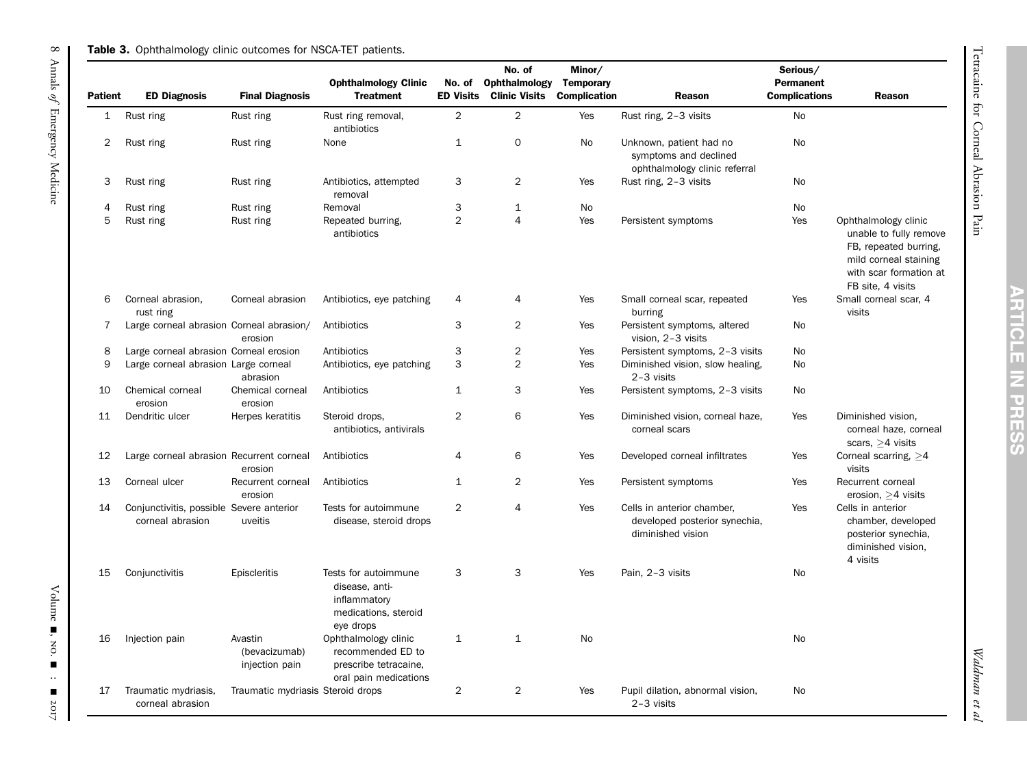#### **Table 3.** Ophthalmology clinic outcomes for NSCA-TET patients.

<span id="page-7-0"></span>

| <b>Patient</b> | <b>ED Diagnosis</b>                                          | <b>Final Diagnosis</b>                     | <b>Ophthalmology Clinic</b><br><b>Treatment</b>                                             |                | No. of<br>No. of Ophthalmology<br>ED Visits Clinic Visits Complication | Minor/<br><b>Temporary</b> | <b>Reason</b>                                                                     | Serious/<br>Permanent<br><b>Complications</b> | Reason                                                                                                                                          |
|----------------|--------------------------------------------------------------|--------------------------------------------|---------------------------------------------------------------------------------------------|----------------|------------------------------------------------------------------------|----------------------------|-----------------------------------------------------------------------------------|-----------------------------------------------|-------------------------------------------------------------------------------------------------------------------------------------------------|
| $\mathbf{1}$   | Rust ring                                                    | Rust ring                                  | Rust ring removal,<br>antibiotics                                                           | $\overline{2}$ | $\overline{2}$                                                         | Yes                        | Rust ring, 2-3 visits                                                             | No                                            |                                                                                                                                                 |
| $\overline{2}$ | Rust ring                                                    | Rust ring                                  | None                                                                                        | $\mathbf{1}$   | $\mathbf 0$                                                            | No                         | Unknown, patient had no<br>symptoms and declined<br>ophthalmology clinic referral | No                                            |                                                                                                                                                 |
| 3              | Rust ring                                                    | Rust ring                                  | Antibiotics, attempted<br>removal                                                           | 3              | $\overline{c}$                                                         | Yes                        | Rust ring, 2-3 visits                                                             | No                                            |                                                                                                                                                 |
| 4              | Rust ring                                                    | Rust ring                                  | Removal                                                                                     | 3              | $\mathbf{1}$                                                           | No                         |                                                                                   | No                                            |                                                                                                                                                 |
| 5              | Rust ring                                                    | Rust ring                                  | Repeated burring,<br>antibiotics                                                            | $\overline{2}$ | $\overline{4}$                                                         | Yes                        | Persistent symptoms                                                               | Yes                                           | Ophthalmology clinic<br>unable to fully remove<br>FB, repeated burring,<br>mild corneal staining<br>with scar formation at<br>FB site, 4 visits |
| 6              | Corneal abrasion,<br>rust ring                               | Corneal abrasion                           | Antibiotics, eye patching                                                                   | 4              | 4                                                                      | Yes                        | Small corneal scar, repeated<br>burring                                           | Yes                                           | Small corneal scar, 4<br>visits                                                                                                                 |
| 7              | Large corneal abrasion Corneal abrasion/                     | erosion                                    | Antibiotics                                                                                 | 3              | $\overline{2}$                                                         | Yes                        | Persistent symptoms, altered<br>vision, 2-3 visits                                | No                                            |                                                                                                                                                 |
| 8              | Large corneal abrasion Corneal erosion                       |                                            | Antibiotics                                                                                 | 3              | $\overline{2}$                                                         | Yes                        | Persistent symptoms, 2-3 visits                                                   | No                                            |                                                                                                                                                 |
| 9              | Large corneal abrasion Large corneal                         | abrasion                                   | Antibiotics, eye patching                                                                   | 3              | $\overline{2}$                                                         | Yes                        | Diminished vision, slow healing,<br>2-3 visits                                    | No                                            |                                                                                                                                                 |
| 10             | Chemical corneal<br>erosion                                  | Chemical corneal<br>erosion                | Antibiotics                                                                                 | $\mathbf{1}$   | 3                                                                      | Yes                        | Persistent symptoms, 2-3 visits                                                   | No                                            |                                                                                                                                                 |
| 11             | Dendritic ulcer                                              | Herpes keratitis                           | Steroid drops,<br>antibiotics, antivirals                                                   | $\overline{2}$ | 6                                                                      | Yes                        | Diminished vision, corneal haze,<br>corneal scars                                 | Yes                                           | Diminished vision,<br>corneal haze, corneal<br>scars, $>4$ visits                                                                               |
| 12             | Large corneal abrasion Recurrent corneal                     | erosion                                    | Antibiotics                                                                                 | 4              | 6                                                                      | Yes                        | Developed corneal infiltrates                                                     | Yes                                           | Corneal scarring, >4<br>visits                                                                                                                  |
| 13             | Corneal ulcer                                                | Recurrent corneal<br>erosion               | Antibiotics                                                                                 | $\mathbf{1}$   | $\overline{2}$                                                         | Yes                        | Persistent symptoms                                                               | Yes                                           | Recurrent corneal<br>erosion, $\geq$ 4 visits                                                                                                   |
| 14             | Conjunctivitis, possible Severe anterior<br>corneal abrasion | uveitis                                    | Tests for autoimmune<br>disease, steroid drops                                              | $\overline{2}$ | 4                                                                      | Yes                        | Cells in anterior chamber,<br>developed posterior synechia,<br>diminished vision  | Yes                                           | Cells in anterior<br>chamber, developed<br>posterior synechia,<br>diminished vision,<br>4 visits                                                |
| 15             | Conjunctivitis                                               | Episcleritis                               | Tests for autoimmune<br>disease, anti-<br>inflammatory<br>medications, steroid<br>eye drops | 3              | 3                                                                      | Yes                        | Pain, 2-3 visits                                                                  | No                                            |                                                                                                                                                 |
| 16             | Injection pain                                               | Avastin<br>(bevacizumab)<br>injection pain | Ophthalmology clinic<br>recommended ED to<br>prescribe tetracaine,<br>oral pain medications | $\mathbf{1}$   | $\mathbf{1}$                                                           | No                         |                                                                                   | No                                            |                                                                                                                                                 |
| 17             | Traumatic mydriasis,<br>corneal abrasion                     | Traumatic mydriasis Steroid drops          |                                                                                             | $\overline{2}$ | 2                                                                      | Yes                        | Pupil dilation, abnormal vision,<br>2-3 visits                                    | No                                            |                                                                                                                                                 |

 $T_{\rm P}$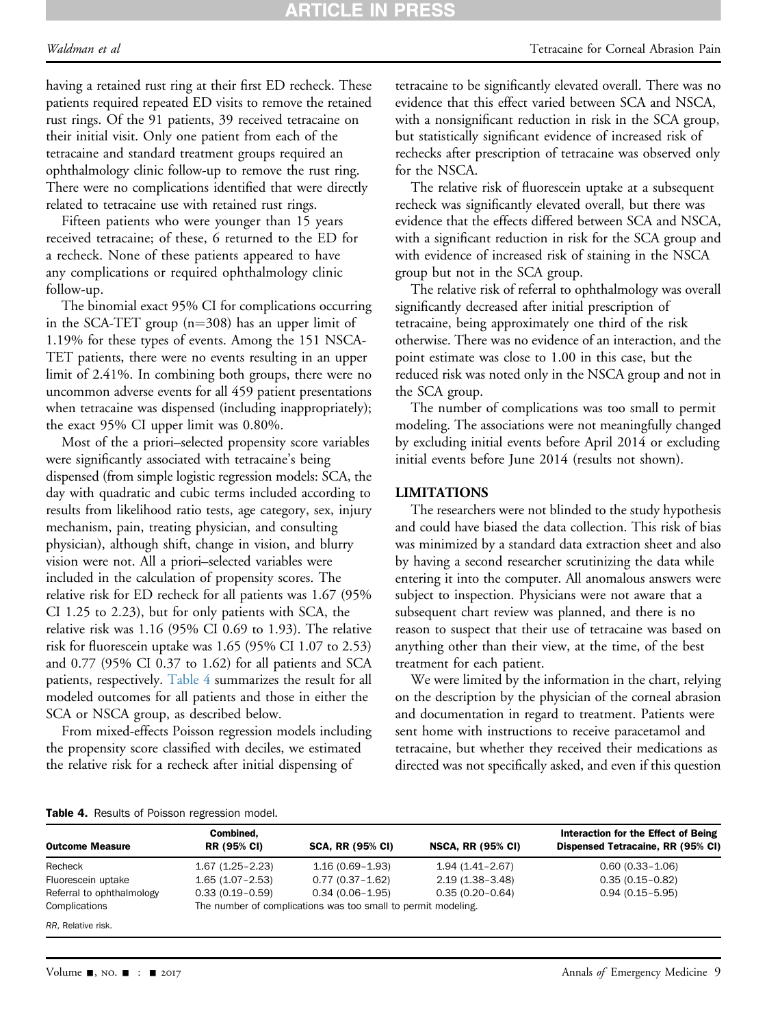having a retained rust ring at their first ED recheck. These patients required repeated ED visits to remove the retained rust rings. Of the 91 patients, 39 received tetracaine on their initial visit. Only one patient from each of the tetracaine and standard treatment groups required an ophthalmology clinic follow-up to remove the rust ring. There were no complications identified that were directly related to tetracaine use with retained rust rings.

Fifteen patients who were younger than 15 years received tetracaine; of these, 6 returned to the ED for a recheck. None of these patients appeared to have any complications or required ophthalmology clinic follow-up.

The binomial exact 95% CI for complications occurring in the SCA-TET group  $(n=308)$  has an upper limit of 1.19% for these types of events. Among the 151 NSCA-TET patients, there were no events resulting in an upper limit of 2.41%. In combining both groups, there were no uncommon adverse events for all 459 patient presentations when tetracaine was dispensed (including inappropriately); the exact 95% CI upper limit was 0.80%.

Most of the a priori–selected propensity score variables were significantly associated with tetracaine's being dispensed (from simple logistic regression models: SCA, the day with quadratic and cubic terms included according to results from likelihood ratio tests, age category, sex, injury mechanism, pain, treating physician, and consulting physician), although shift, change in vision, and blurry vision were not. All a priori–selected variables were included in the calculation of propensity scores. The relative risk for ED recheck for all patients was 1.67 (95% CI 1.25 to 2.23), but for only patients with SCA, the relative risk was 1.16 (95% CI 0.69 to 1.93). The relative risk for fluorescein uptake was 1.65 (95% CI 1.07 to 2.53) and 0.77 (95% CI 0.37 to 1.62) for all patients and SCA patients, respectively. [Table 4](#page-8-0) summarizes the result for all modeled outcomes for all patients and those in either the SCA or NSCA group, as described below.

From mixed-effects Poisson regression models including the propensity score classified with deciles, we estimated the relative risk for a recheck after initial dispensing of

tetracaine to be significantly elevated overall. There was no evidence that this effect varied between SCA and NSCA, with a nonsignificant reduction in risk in the SCA group, but statistically significant evidence of increased risk of rechecks after prescription of tetracaine was observed only for the NSCA.

The relative risk of fluorescein uptake at a subsequent recheck was significantly elevated overall, but there was evidence that the effects differed between SCA and NSCA, with a significant reduction in risk for the SCA group and with evidence of increased risk of staining in the NSCA group but not in the SCA group.

The relative risk of referral to ophthalmology was overall significantly decreased after initial prescription of tetracaine, being approximately one third of the risk otherwise. There was no evidence of an interaction, and the point estimate was close to 1.00 in this case, but the reduced risk was noted only in the NSCA group and not in the SCA group.

The number of complications was too small to permit modeling. The associations were not meaningfully changed by excluding initial events before April 2014 or excluding initial events before June 2014 (results not shown).

#### LIMITATIONS

The researchers were not blinded to the study hypothesis and could have biased the data collection. This risk of bias was minimized by a standard data extraction sheet and also by having a second researcher scrutinizing the data while entering it into the computer. All anomalous answers were subject to inspection. Physicians were not aware that a subsequent chart review was planned, and there is no reason to suspect that their use of tetracaine was based on anything other than their view, at the time, of the best treatment for each patient.

We were limited by the information in the chart, relying on the description by the physician of the corneal abrasion and documentation in regard to treatment. Patients were sent home with instructions to receive paracetamol and tetracaine, but whether they received their medications as directed was not specifically asked, and even if this question

**hle 4.** Results of Poisson regression model

<span id="page-8-0"></span>

| <b>Outcome Measure</b>    | Combined.<br><b>RR (95% CI)</b>                               | <b>SCA, RR (95% CI)</b> | <b>NSCA, RR (95% CI)</b> | Interaction for the Effect of Being<br>Dispensed Tetracaine, RR (95% CI) |  |  |  |  |  |
|---------------------------|---------------------------------------------------------------|-------------------------|--------------------------|--------------------------------------------------------------------------|--|--|--|--|--|
| Recheck                   | $1.67(1.25-2.23)$                                             | $1.16(0.69 - 1.93)$     | $1.94(1.41 - 2.67)$      | $0.60(0.33 - 1.06)$                                                      |  |  |  |  |  |
| Fluorescein uptake        | $1.65(1.07 - 2.53)$                                           | $0.77(0.37 - 1.62)$     | $2.19(1.38-3.48)$        | $0.35(0.15 - 0.82)$                                                      |  |  |  |  |  |
| Referral to ophthalmology | $0.33(0.19 - 0.59)$                                           | $0.34(0.06 - 1.95)$     | $0.35(0.20 - 0.64)$      | $0.94(0.15 - 5.95)$                                                      |  |  |  |  |  |
| Complications             | The number of complications was too small to permit modeling. |                         |                          |                                                                          |  |  |  |  |  |
| RR, Relative risk.        |                                                               |                         |                          |                                                                          |  |  |  |  |  |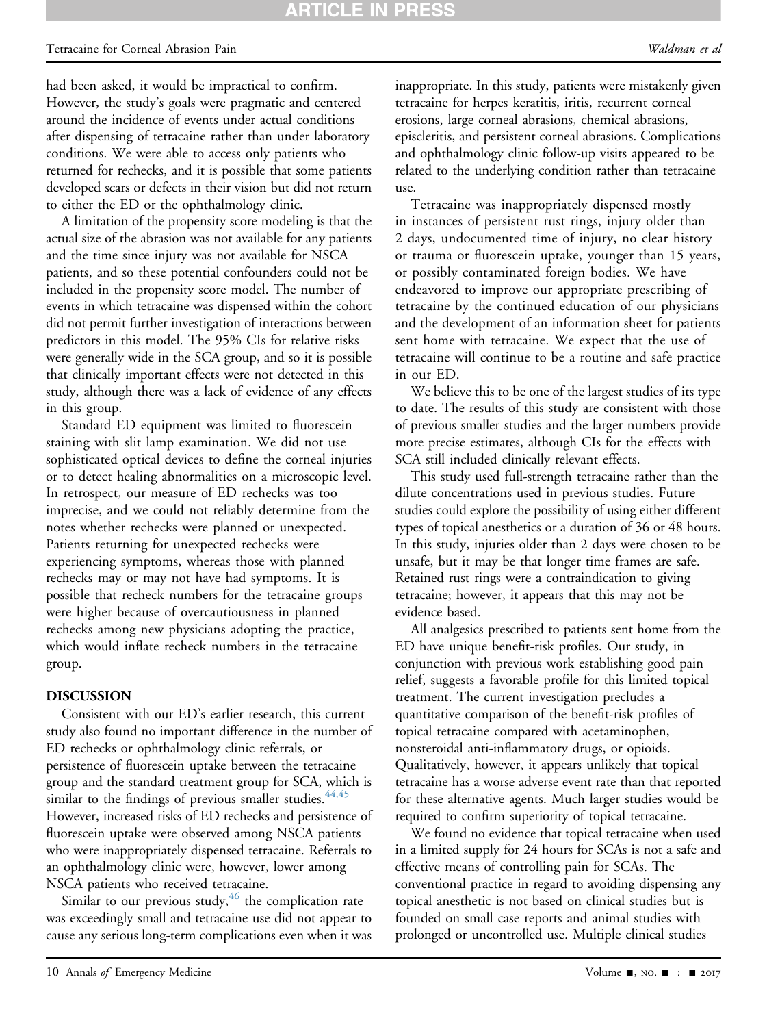# **ARTICLE IN PRES**

#### Tetracaine for Corneal Abrasion Pain Waldman et al

had been asked, it would be impractical to confirm. However, the study's goals were pragmatic and centered around the incidence of events under actual conditions after dispensing of tetracaine rather than under laboratory conditions. We were able to access only patients who returned for rechecks, and it is possible that some patients developed scars or defects in their vision but did not return to either the ED or the ophthalmology clinic.

A limitation of the propensity score modeling is that the actual size of the abrasion was not available for any patients and the time since injury was not available for NSCA patients, and so these potential confounders could not be included in the propensity score model. The number of events in which tetracaine was dispensed within the cohort did not permit further investigation of interactions between predictors in this model. The 95% CIs for relative risks were generally wide in the SCA group, and so it is possible that clinically important effects were not detected in this study, although there was a lack of evidence of any effects in this group.

Standard ED equipment was limited to fluorescein staining with slit lamp examination. We did not use sophisticated optical devices to define the corneal injuries or to detect healing abnormalities on a microscopic level. In retrospect, our measure of ED rechecks was too imprecise, and we could not reliably determine from the notes whether rechecks were planned or unexpected. Patients returning for unexpected rechecks were experiencing symptoms, whereas those with planned rechecks may or may not have had symptoms. It is possible that recheck numbers for the tetracaine groups were higher because of overcautiousness in planned rechecks among new physicians adopting the practice, which would inflate recheck numbers in the tetracaine group.

### DISCUSSION

Consistent with our ED's earlier research, this current study also found no important difference in the number of ED rechecks or ophthalmology clinic referrals, or persistence of fluorescein uptake between the tetracaine group and the standard treatment group for SCA, which is similar to the findings of previous smaller studies.  $44,45$ However, increased risks of ED rechecks and persistence of fluorescein uptake were observed among NSCA patients who were inappropriately dispensed tetracaine. Referrals to an ophthalmology clinic were, however, lower among NSCA patients who received tetracaine.

Similar to our previous study,  $46$  the complication rate was exceedingly small and tetracaine use did not appear to cause any serious long-term complications even when it was

inappropriate. In this study, patients were mistakenly given tetracaine for herpes keratitis, iritis, recurrent corneal erosions, large corneal abrasions, chemical abrasions, episcleritis, and persistent corneal abrasions. Complications and ophthalmology clinic follow-up visits appeared to be related to the underlying condition rather than tetracaine use.

Tetracaine was inappropriately dispensed mostly in instances of persistent rust rings, injury older than 2 days, undocumented time of injury, no clear history or trauma or fluorescein uptake, younger than 15 years, or possibly contaminated foreign bodies. We have endeavored to improve our appropriate prescribing of tetracaine by the continued education of our physicians and the development of an information sheet for patients sent home with tetracaine. We expect that the use of tetracaine will continue to be a routine and safe practice in our ED.

We believe this to be one of the largest studies of its type to date. The results of this study are consistent with those of previous smaller studies and the larger numbers provide more precise estimates, although CIs for the effects with SCA still included clinically relevant effects.

This study used full-strength tetracaine rather than the dilute concentrations used in previous studies. Future studies could explore the possibility of using either different types of topical anesthetics or a duration of 36 or 48 hours. In this study, injuries older than 2 days were chosen to be unsafe, but it may be that longer time frames are safe. Retained rust rings were a contraindication to giving tetracaine; however, it appears that this may not be evidence based.

All analgesics prescribed to patients sent home from the ED have unique benefit-risk profiles. Our study, in conjunction with previous work establishing good pain relief, suggests a favorable profile for this limited topical treatment. The current investigation precludes a quantitative comparison of the benefit-risk profiles of topical tetracaine compared with acetaminophen, nonsteroidal anti-inflammatory drugs, or opioids. Qualitatively, however, it appears unlikely that topical tetracaine has a worse adverse event rate than that reported for these alternative agents. Much larger studies would be required to confirm superiority of topical tetracaine.

We found no evidence that topical tetracaine when used in a limited supply for 24 hours for SCAs is not a safe and effective means of controlling pain for SCAs. The conventional practice in regard to avoiding dispensing any topical anesthetic is not based on clinical studies but is founded on small case reports and animal studies with prolonged or uncontrolled use. Multiple clinical studies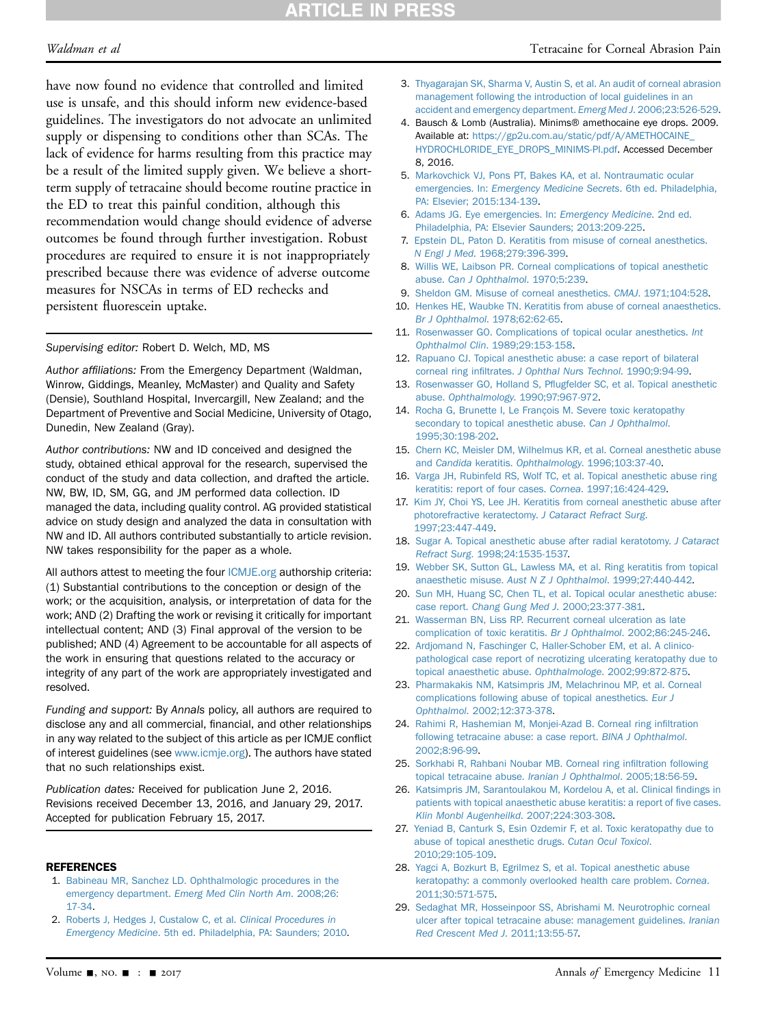# **ARTICLE IN PRESS**

have now found no evidence that controlled and limited use is unsafe, and this should inform new evidence-based guidelines. The investigators do not advocate an unlimited supply or dispensing to conditions other than SCAs. The lack of evidence for harms resulting from this practice may be a result of the limited supply given. We believe a shortterm supply of tetracaine should become routine practice in the ED to treat this painful condition, although this recommendation would change should evidence of adverse outcomes be found through further investigation. Robust procedures are required to ensure it is not inappropriately prescribed because there was evidence of adverse outcome measures for NSCAs in terms of ED rechecks and persistent fluorescein uptake.

#### Supervising editor: Robert D. Welch, MD, MS

Author affiliations: From the Emergency Department (Waldman, Winrow, Giddings, Meanley, McMaster) and Quality and Safety (Densie), Southland Hospital, Invercargill, New Zealand; and the Department of Preventive and Social Medicine, University of Otago, Dunedin, New Zealand (Gray).

Author contributions: NW and ID conceived and designed the study, obtained ethical approval for the research, supervised the conduct of the study and data collection, and drafted the article. NW, BW, ID, SM, GG, and JM performed data collection. ID managed the data, including quality control. AG provided statistical advice on study design and analyzed the data in consultation with NW and ID. All authors contributed substantially to article revision. NW takes responsibility for the paper as a whole.

All authors attest to meeting the four [ICMJE.org](http://ICMJE.org) authorship criteria: (1) Substantial contributions to the conception or design of the work; or the acquisition, analysis, or interpretation of data for the work; AND (2) Drafting the work or revising it critically for important intellectual content; AND (3) Final approval of the version to be published; AND (4) Agreement to be accountable for all aspects of the work in ensuring that questions related to the accuracy or integrity of any part of the work are appropriately investigated and resolved.

Funding and support: By Annals policy, all authors are required to disclose any and all commercial, financial, and other relationships in any way related to the subject of this article as per ICMJE conflict of interest guidelines (see [www.icmje.org\)](http://www.icmje.org/). The authors have stated that no such relationships exist.

Publication dates: Received for publication June 2, 2016. Revisions received December 13, 2016, and January 29, 2017. Accepted for publication February 15, 2017.

#### <span id="page-10-0"></span>REFERENCES

- 1. [Babineau MR, Sanchez LD. Ophthalmologic procedures in the](http://refhub.elsevier.com/S0196-0644(17)30195-6/sref1) emergency department. [Emerg Med Clin North Am](http://refhub.elsevier.com/S0196-0644(17)30195-6/sref1). 2008;26: [17-34](http://refhub.elsevier.com/S0196-0644(17)30195-6/sref1).
- 2. [Roberts J, Hedges J, Custalow C, et al.](http://refhub.elsevier.com/S0196-0644(17)30195-6/sref2) Clinical Procedures in Emergency Medicine[. 5th ed. Philadelphia, PA: Saunders; 2010.](http://refhub.elsevier.com/S0196-0644(17)30195-6/sref2)
- 3. [Thyagarajan SK, Sharma V, Austin S, et al. An audit of corneal abrasion](http://refhub.elsevier.com/S0196-0644(17)30195-6/sref3) [management following the introduction of local guidelines in an](http://refhub.elsevier.com/S0196-0644(17)30195-6/sref3) [accident and emergency department.](http://refhub.elsevier.com/S0196-0644(17)30195-6/sref3) Emerg Med J. 2006;23:526-529.
- 4. Bausch & Lomb (Australia). Minims® amethocaine eye drops. 2009. Available at: [https://gp2u.com.au/static/pdf/A/AMETHOCAINE\\_](https://gp2u.com.au/static/pdf/A/AMETHOCAINE_HYDROCHLORIDE_EYE_DROPS_MINIMS-PI.pdf) [HYDROCHLORIDE\\_EYE\\_DROPS\\_MINIMS-PI.pdf](https://gp2u.com.au/static/pdf/A/AMETHOCAINE_HYDROCHLORIDE_EYE_DROPS_MINIMS-PI.pdf). Accessed December 8, 2016.
- <span id="page-10-1"></span>5. [Markovchick VJ, Pons PT, Bakes KA, et al. Nontraumatic ocular](http://refhub.elsevier.com/S0196-0644(17)30195-6/sref5) emergencies. In: [Emergency Medicine Secrets](http://refhub.elsevier.com/S0196-0644(17)30195-6/sref5). 6th ed. Philadelphia, [PA: Elsevier; 2015:134-139](http://refhub.elsevier.com/S0196-0644(17)30195-6/sref5).
- 6. [Adams JG. Eye emergencies. In:](http://refhub.elsevier.com/S0196-0644(17)30195-6/sref6) Emergency Medicine. 2nd ed. [Philadelphia, PA: Elsevier Saunders; 2013:209-225](http://refhub.elsevier.com/S0196-0644(17)30195-6/sref6).
- <span id="page-10-2"></span>7. [Epstein DL, Paton D. Keratitis from misuse of corneal anesthetics.](http://refhub.elsevier.com/S0196-0644(17)30195-6/sref7) N Engl J Med[. 1968;279:396-399](http://refhub.elsevier.com/S0196-0644(17)30195-6/sref7).
- 8. [Willis WE, Laibson PR. Corneal complications of topical anesthetic](http://refhub.elsevier.com/S0196-0644(17)30195-6/sref8) abuse. [Can J Ophthalmol](http://refhub.elsevier.com/S0196-0644(17)30195-6/sref8). 1970;5:239.
- 9. [Sheldon GM. Misuse of corneal anesthetics.](http://refhub.elsevier.com/S0196-0644(17)30195-6/sref9) CMAJ. 1971;104:528.
- 10. [Henkes HE, Waubke TN. Keratitis from abuse of corneal anaesthetics.](http://refhub.elsevier.com/S0196-0644(17)30195-6/sref10) Br J Ophthalmol[. 1978;62:62-65](http://refhub.elsevier.com/S0196-0644(17)30195-6/sref10).
- 11. [Rosenwasser GO. Complications of topical ocular anesthetics.](http://refhub.elsevier.com/S0196-0644(17)30195-6/sref11) Int Ophthalmol Clin[. 1989;29:153-158.](http://refhub.elsevier.com/S0196-0644(17)30195-6/sref11)
- 12. [Rapuano CJ. Topical anesthetic abuse: a case report of bilateral](http://refhub.elsevier.com/S0196-0644(17)30195-6/sref12) corneal ring infiltrates. [J Ophthal Nurs Technol](http://refhub.elsevier.com/S0196-0644(17)30195-6/sref12). 1990;9:94-99.
- 13. Rosenwasser GO, Holland S, Pfl[ugfelder SC, et al. Topical anesthetic](http://refhub.elsevier.com/S0196-0644(17)30195-6/sref13) abuse. Ophthalmology[. 1990;97:967-972](http://refhub.elsevier.com/S0196-0644(17)30195-6/sref13).
- 14. [Rocha G, Brunette I, Le François M. Severe toxic keratopathy](http://refhub.elsevier.com/S0196-0644(17)30195-6/sref14) [secondary to topical anesthetic abuse.](http://refhub.elsevier.com/S0196-0644(17)30195-6/sref14) Can J Ophthalmol. [1995;30:198-202](http://refhub.elsevier.com/S0196-0644(17)30195-6/sref14).
- 15. [Chern KC, Meisler DM, Wilhelmus KR, et al. Corneal anesthetic abuse](http://refhub.elsevier.com/S0196-0644(17)30195-6/sref15) and Candida keratitis. Ophthalmology[. 1996;103:37-40](http://refhub.elsevier.com/S0196-0644(17)30195-6/sref15).
- 16. [Varga JH, Rubinfeld RS, Wolf TC, et al. Topical anesthetic abuse ring](http://refhub.elsevier.com/S0196-0644(17)30195-6/sref16) [keratitis: report of four cases.](http://refhub.elsevier.com/S0196-0644(17)30195-6/sref16) Cornea. 1997;16:424-429.
- 17. [Kim JY, Choi YS, Lee JH. Keratitis from corneal anesthetic abuse after](http://refhub.elsevier.com/S0196-0644(17)30195-6/sref17) [photorefractive keratectomy.](http://refhub.elsevier.com/S0196-0644(17)30195-6/sref17) J Cataract Refract Surg. [1997;23:447-449](http://refhub.elsevier.com/S0196-0644(17)30195-6/sref17).
- 18. [Sugar A. Topical anesthetic abuse after radial keratotomy.](http://refhub.elsevier.com/S0196-0644(17)30195-6/sref18) J Cataract Refract Surg[. 1998;24:1535-1537.](http://refhub.elsevier.com/S0196-0644(17)30195-6/sref18)
- 19. [Webber SK, Sutton GL, Lawless MA, et al. Ring keratitis from topical](http://refhub.elsevier.com/S0196-0644(17)30195-6/sref19) anaesthetic misuse. [Aust N Z J Ophthalmol](http://refhub.elsevier.com/S0196-0644(17)30195-6/sref19). 1999;27:440-442.
- 20. [Sun MH, Huang SC, Chen TL, et al. Topical ocular anesthetic abuse:](http://refhub.elsevier.com/S0196-0644(17)30195-6/sref20) case report. Chang Gung Med J[. 2000;23:377-381](http://refhub.elsevier.com/S0196-0644(17)30195-6/sref20).
- <span id="page-10-3"></span>21. [Wasserman BN, Liss RP. Recurrent corneal ulceration as late](http://refhub.elsevier.com/S0196-0644(17)30195-6/sref21) [complication of toxic keratitis.](http://refhub.elsevier.com/S0196-0644(17)30195-6/sref21) Br J Ophthalmol. 2002;86:245-246.
- 22. [Ardjomand N, Faschinger C, Haller-Schober EM, et al. A clinico](http://refhub.elsevier.com/S0196-0644(17)30195-6/sref22)[pathological case report of necrotizing ulcerating keratopathy due to](http://refhub.elsevier.com/S0196-0644(17)30195-6/sref22) [topical anaesthetic abuse.](http://refhub.elsevier.com/S0196-0644(17)30195-6/sref22) Ophthalmologe. 2002;99:872-875.
- 23. [Pharmakakis NM, Katsimpris JM, Melachrinou MP, et al. Corneal](http://refhub.elsevier.com/S0196-0644(17)30195-6/sref23) [complications following abuse of topical anesthetics.](http://refhub.elsevier.com/S0196-0644(17)30195-6/sref23) Eur J Ophthalmol[. 2002;12:373-378](http://refhub.elsevier.com/S0196-0644(17)30195-6/sref23).
- 24. [Rahimi R, Hashemian M, Monjei-Azad B. Corneal ring in](http://refhub.elsevier.com/S0196-0644(17)30195-6/sref24)filtration [following tetracaine abuse: a case report.](http://refhub.elsevier.com/S0196-0644(17)30195-6/sref24) BINA J Ophthalmol. [2002;8:96-99.](http://refhub.elsevier.com/S0196-0644(17)30195-6/sref24)
- 25. [Sorkhabi R, Rahbani Noubar MB. Corneal ring in](http://refhub.elsevier.com/S0196-0644(17)30195-6/sref25)filtration following [topical tetracaine abuse.](http://refhub.elsevier.com/S0196-0644(17)30195-6/sref25) Iranian J Ophthalmol. 2005;18:56-59.
- 26. [Katsimpris JM, Sarantoulakou M, Kordelou A, et al. Clinical](http://refhub.elsevier.com/S0196-0644(17)30195-6/sref26) findings in [patients with topical anaesthetic abuse keratitis: a report of](http://refhub.elsevier.com/S0196-0644(17)30195-6/sref26) five cases. [Klin Monbl Augenheilkd](http://refhub.elsevier.com/S0196-0644(17)30195-6/sref26). 2007;224:303-308.
- 27. [Yeniad B, Canturk S, Esin Ozdemir F, et al. Toxic keratopathy due to](http://refhub.elsevier.com/S0196-0644(17)30195-6/sref27) [abuse of topical anesthetic drugs.](http://refhub.elsevier.com/S0196-0644(17)30195-6/sref27) Cutan Ocul Toxicol. [2010;29:105-109.](http://refhub.elsevier.com/S0196-0644(17)30195-6/sref27)
- 28. [Yagci A, Bozkurt B, Egrilmez S, et al. Topical anesthetic abuse](http://refhub.elsevier.com/S0196-0644(17)30195-6/sref28) [keratopathy: a commonly overlooked health care problem.](http://refhub.elsevier.com/S0196-0644(17)30195-6/sref28) Cornea. [2011;30:571-575](http://refhub.elsevier.com/S0196-0644(17)30195-6/sref28).
- 29. [Sedaghat MR, Hosseinpoor SS, Abrishami M. Neurotrophic corneal](http://refhub.elsevier.com/S0196-0644(17)30195-6/sref29) [ulcer after topical tetracaine abuse: management guidelines.](http://refhub.elsevier.com/S0196-0644(17)30195-6/sref29) Iranian [Red Crescent Med J](http://refhub.elsevier.com/S0196-0644(17)30195-6/sref29). 2011;13:55-57.